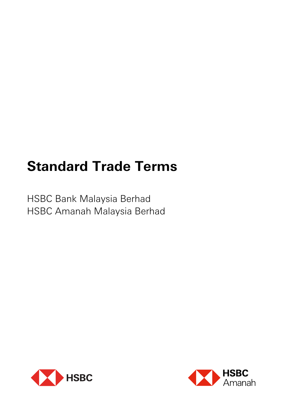# **Standard Trade Terms**

HSBC Bank Malaysia Berhad HSBC Amanah Malaysia Berhad



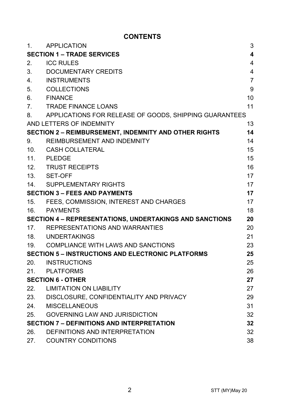# **CONTENTS**

| 1.                                                      | <b>APPLICATION</b>                                       | 3                       |
|---------------------------------------------------------|----------------------------------------------------------|-------------------------|
| <b>SECTION 1 – TRADE SERVICES</b>                       |                                                          | $\overline{\mathbf{4}}$ |
| 2.                                                      | <b>ICC RULES</b>                                         | 4                       |
| 3.                                                      | DOCUMENTARY CREDITS                                      | 4                       |
| 4.                                                      | <b>INSTRUMENTS</b>                                       | $\overline{7}$          |
| 5.                                                      | <b>COLLECTIONS</b>                                       | 9                       |
| 6.                                                      | <b>FINANCE</b>                                           | 10                      |
| 7.                                                      | <b>TRADE FINANCE LOANS</b>                               | 11                      |
| 8.                                                      | APPLICATIONS FOR RELEASE OF GOODS, SHIPPING GUARANTEES   |                         |
|                                                         | AND LETTERS OF INDEMNITY                                 | 13                      |
|                                                         | SECTION 2 - REIMBURSEMENT, INDEMNITY AND OTHER RIGHTS    | 14                      |
| 9.                                                      | REIMBURSEMENT AND INDEMNITY                              | 14                      |
| 10.                                                     | CASH COLLATERAL                                          | 15                      |
| 11.                                                     | PLEDGE                                                   | 15                      |
| 12.                                                     | <b>TRUST RECEIPTS</b>                                    | 16                      |
|                                                         | 13. SET-OFF                                              | 17                      |
| 14.                                                     | SUPPLEMENTARY RIGHTS                                     | 17                      |
| <b>SECTION 3 - FEES AND PAYMENTS</b>                    |                                                          | 17                      |
| 15.                                                     | FEES, COMMISSION, INTEREST AND CHARGES                   | 17                      |
|                                                         | 16. PAYMENTS                                             | 18                      |
| SECTION 4 - REPRESENTATIONS, UNDERTAKINGS AND SANCTIONS |                                                          | 20                      |
|                                                         | 17. REPRESENTATIONS AND WARRANTIES                       | 20                      |
|                                                         | 18. UNDERTAKINGS                                         | 21                      |
|                                                         | 19. COMPLIANCE WITH LAWS AND SANCTIONS                   | 23                      |
|                                                         | <b>SECTION 5 - INSTRUCTIONS AND ELECTRONIC PLATFORMS</b> | 25                      |
| 20.                                                     | <b>INSTRUCTIONS</b>                                      | 25                      |
|                                                         | 21. PLATFORMS                                            | 26                      |
|                                                         | <b>SECTION 6 - OTHER</b>                                 | 27                      |
|                                                         | 22. LIMITATION ON LIABILITY                              | 27                      |
|                                                         | 23. DISCLOSURE, CONFIDENTIALITY AND PRIVACY              | 29                      |
| 24.                                                     | MISCELLANEOUS                                            | 31                      |
| 25.                                                     | <b>GOVERNING LAW AND JURISDICTION</b>                    | 32                      |
|                                                         | <b>SECTION 7 - DEFINITIONS AND INTERPRETATION</b>        | 32                      |
| 26.                                                     | DEFINITIONS AND INTERPRETATION                           | 32                      |
| 27.                                                     | <b>COUNTRY CONDITIONS</b>                                | 38                      |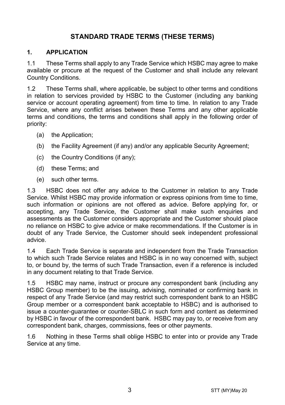# **STANDARD TRADE TERMS (THESE TERMS)**

#### **1. APPLICATION**

1.1 These Terms shall apply to any Trade Service which HSBC may agree to make available or procure at the request of the Customer and shall include any relevant Country Conditions.

1.2 These Terms shall, where applicable, be subject to other terms and conditions in relation to services provided by HSBC to the Customer (including any banking service or account operating agreement) from time to time. In relation to any Trade Service, where any conflict arises between these Terms and any other applicable terms and conditions, the terms and conditions shall apply in the following order of priority:

- (a) the Application;
- (b) the Facility Agreement (if any) and/or any applicable Security Agreement;
- (c) the Country Conditions (if any);
- (d) these Terms; and
- (e) such other terms.

1.3 HSBC does not offer any advice to the Customer in relation to any Trade Service. Whilst HSBC may provide information or express opinions from time to time, such information or opinions are not offered as advice. Before applying for, or accepting, any Trade Service, the Customer shall make such enquiries and assessments as the Customer considers appropriate and the Customer should place no reliance on HSBC to give advice or make recommendations. If the Customer is in doubt of any Trade Service, the Customer should seek independent professional advice.

1.4 Each Trade Service is separate and independent from the Trade Transaction to which such Trade Service relates and HSBC is in no way concerned with, subject to, or bound by, the terms of such Trade Transaction, even if a reference is included in any document relating to that Trade Service.

1.5 HSBC may name, instruct or procure any correspondent bank (including any HSBC Group member) to be the issuing, advising, nominated or confirming bank in respect of any Trade Service (and may restrict such correspondent bank to an HSBC Group member or a correspondent bank acceptable to HSBC) and is authorised to issue a counter-guarantee or counter-SBLC in such form and content as determined by HSBC in favour of the correspondent bank. HSBC may pay to, or receive from any correspondent bank, charges, commissions, fees or other payments.

1.6 Nothing in these Terms shall oblige HSBC to enter into or provide any Trade Service at any time.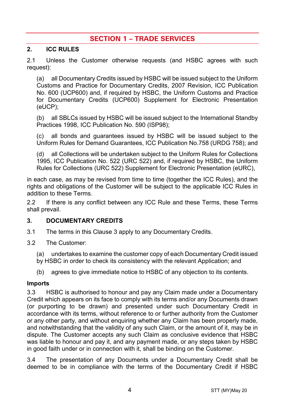# **SECTION 1 – TRADE SERVICES**

#### **2. ICC RULES**

2.1 Unless the Customer otherwise requests (and HSBC agrees with such request):

(a) all Documentary Credits issued by HSBC will be issued subject to the Uniform Customs and Practice for Documentary Credits, 2007 Revision, ICC Publication No. 600 (UCP600) and, if required by HSBC, the Uniform Customs and Practice for Documentary Credits (UCP600) Supplement for Electronic Presentation (eUCP);

(b) all SBLCs issued by HSBC will be issued subject to the International Standby Practices 1998, ICC Publication No. 590 (ISP98);

(c) all bonds and guarantees issued by HSBC will be issued subject to the Uniform Rules for Demand Guarantees, ICC Publication No.758 (URDG 758); and

(d) all Collections will be undertaken subject to the Uniform Rules for Collections 1995, ICC Publication No. 522 (URC 522) and, if required by HSBC, the Uniform Rules for Collections (URC 522) Supplement for Electronic Presentation (eURC),

in each case, as may be revised from time to time (together the ICC Rules), and the rights and obligations of the Customer will be subject to the applicable ICC Rules in addition to these Terms.

2.2 If there is any conflict between any ICC Rule and these Terms, these Terms shall prevail.

## <span id="page-3-0"></span>**3. DOCUMENTARY CREDITS**

- 3.1 The terms in this Claus[e 3](#page-3-0) apply to any Documentary Credits.
- 3.2 The Customer:
	- (a) undertakes to examine the customer copy of each Documentary Credit issued
	- by HSBC in order to check its consistency with the relevant Application; and
	- (b) agrees to give immediate notice to HSBC of any objection to its contents.

#### **Imports**

3.3 HSBC is authorised to honour and pay any Claim made under a Documentary Credit which appears on its face to comply with its terms and/or any Documents drawn (or purporting to be drawn) and presented under such Documentary Credit in accordance with its terms, without reference to or further authority from the Customer or any other party, and without enquiring whether any Claim has been properly made, and notwithstanding that the validity of any such Claim, or the amount of it, may be in dispute. The Customer accepts any such Claim as conclusive evidence that HSBC was liable to honour and pay it, and any payment made, or any steps taken by HSBC in good faith under or in connection with it, shall be binding on the Customer.

3.4 The presentation of any Documents under a Documentary Credit shall be deemed to be in compliance with the terms of the Documentary Credit if HSBC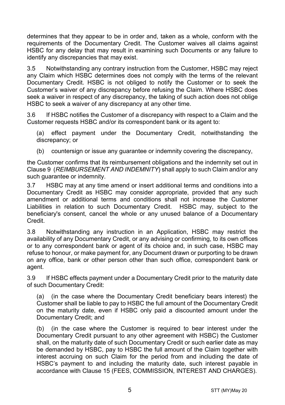determines that they appear to be in order and, taken as a whole, conform with the requirements of the Documentary Credit. The Customer waives all claims against HSBC for any delay that may result in examining such Documents or any failure to identify any discrepancies that may exist.

3.5 Notwithstanding any contrary instruction from the Customer, HSBC may reject any Claim which HSBC determines does not comply with the terms of the relevant Documentary Credit. HSBC is not obliged to notify the Customer or to seek the Customer's waiver of any discrepancy before refusing the Claim. Where HSBC does seek a waiver in respect of any discrepancy, the taking of such action does not oblige HSBC to seek a waiver of any discrepancy at any other time.

3.6 If HSBC notifies the Customer of a discrepancy with respect to a Claim and the Customer requests HSBC and/or its correspondent bank or its agent to:

(a) effect payment under the Documentary Credit, notwithstanding the discrepancy; or

(b) countersign or issue any guarantee or indemnity covering the discrepancy,

the Customer confirms that its reimbursement obligations and the indemnity set out in Claus[e 9](#page-13-0) (*[REIMBURSEMENT AND INDEMNITY](#page-13-0)*) shall apply to such Claim and/or any such guarantee or indemnity.

3.7 HSBC may at any time amend or insert additional terms and conditions into a Documentary Credit as HSBC may consider appropriate, provided that any such amendment or additional terms and conditions shall not increase the Customer Liabilities in relation to such Documentary Credit. HSBC may, subject to the beneficiary's consent, cancel the whole or any unused balance of a Documentary Credit.

3.8 Notwithstanding any instruction in an Application, HSBC may restrict the availability of any Documentary Credit, or any advising or confirming, to its own offices or to any correspondent bank or agent of its choice and, in such case, HSBC may refuse to honour, or make payment for, any Document drawn or purporting to be drawn on any office, bank or other person other than such office, correspondent bank or agent.

3.9 If HSBC effects payment under a Documentary Credit prior to the maturity date of such Documentary Credit:

(a) (in the case where the Documentary Credit beneficiary bears interest) the Customer shall be liable to pay to HSBC the full amount of the Documentary Credit on the maturity date, even if HSBC only paid a discounted amount under the Documentary Credit; and

(b) (in the case where the Customer is required to bear interest under the Documentary Credit pursuant to any other agreement with HSBC) the Customer shall, on the maturity date of such Documentary Credit or such earlier date as may be demanded by HSBC, pay to HSBC the full amount of the Claim together with interest accruing on such Claim for the period from and including the date of HSBC's payment to and including the maturity date, such interest payable in accordance with Clause [15](#page-16-0) [\(FEES, COMMISSION, INTEREST AND CHARGES\)](#page-16-0).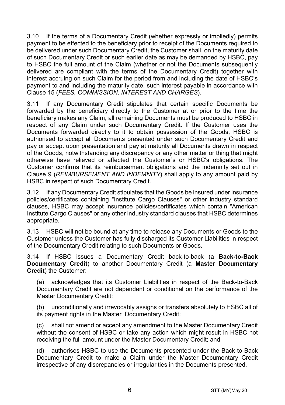3.10 If the terms of a Documentary Credit (whether expressly or impliedly) permits payment to be effected to the beneficiary prior to receipt of the Documents required to be delivered under such Documentary Credit, the Customer shall, on the maturity date of such Documentary Credit or such earlier date as may be demanded by HSBC, pay to HSBC the full amount of the Claim (whether or not the Documents subsequently delivered are compliant with the terms of the Documentary Credit) together with interest accruing on such Claim for the period from and including the date of HSBC's payment to and including the maturity date, such interest payable in accordance with Clause [15](#page-16-0) (*[FEES, COMMISSION, INTEREST AND CHARGES](#page-16-0)*).

3.11 If any Documentary Credit stipulates that certain specific Documents be forwarded by the beneficiary directly to the Customer at or prior to the time the beneficiary makes any Claim, all remaining Documents must be produced to HSBC in respect of any Claim under such Documentary Credit. If the Customer uses the Documents forwarded directly to it to obtain possession of the Goods, HSBC is authorised to accept all Documents presented under such Documentary Credit and pay or accept upon presentation and pay at maturity all Documents drawn in respect of the Goods, notwithstanding any discrepancy or any other matter or thing that might otherwise have relieved or affected the Customer's or HSBC's obligations. The Customer confirms that its reimbursement obligations and the indemnity set out in Clause [9](#page-13-0) (*[REIMBURSEMENT AND INDEMNITY](#page-13-0)*) shall apply to any amount paid by HSBC in respect of such Documentary Credit.

3.12 If any Documentary Credit stipulates that the Goods be insured under insurance policies/certificates containing "Institute Cargo Clauses" or other industry standard clauses, HSBC may accept insurance policies/certificates which contain "American Institute Cargo Clauses" or any other industry standard clauses that HSBC determines appropriate.

3.13 HSBC will not be bound at any time to release any Documents or Goods to the Customer unless the Customer has fully discharged its Customer Liabilities in respect of the Documentary Credit relating to such Documents or Goods.

<span id="page-5-0"></span>3.14 If HSBC issues a Documentary Credit back-to-back (a **Back-to-Back Documentary Credit**) to another Documentary Credit (a **Master Documentary Credit**) the Customer:

(a) acknowledges that its Customer Liabilities in respect of the Back-to-Back Documentary Credit are not dependent or conditional on the performance of the Master Documentary Credit;

(b) unconditionally and irrevocably assigns or transfers absolutely to HSBC all of its payment rights in the Master Documentary Credit;

(c) shall not amend or accept any amendment to the Master Documentary Credit without the consent of HSBC or take any action which might result in HSBC not receiving the full amount under the Master Documentary Credit; and

(d) authorises HSBC to use the Documents presented under the Back-to-Back Documentary Credit to make a Claim under the Master Documentary Credit irrespective of any discrepancies or irregularities in the Documents presented.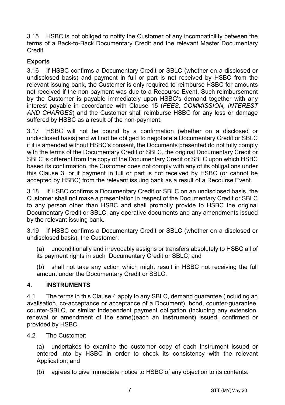3.15 HSBC is not obliged to notify the Customer of any incompatibility between the terms of a Back-to-Back Documentary Credit and the relevant Master Documentary Credit.

# **Exports**

3.16 If HSBC confirms a Documentary Credit or SBLC (whether on a disclosed or undisclosed basis) and payment in full or part is not received by HSBC from the relevant issuing bank, the Customer is only required to reimburse HSBC for amounts not received if the non-payment was due to a Recourse Event. Such reimbursement by the Customer is payable immediately upon HSBC's demand together with any interest payable in accordance with Clause [15](#page-16-0) (*[FEES, COMMISSION, INTEREST](#page-16-0)  [AND CHARGES](#page-16-0)*) and the Customer shall reimburse HSBC for any loss or damage suffered by HSBC as a result of the non-payment.

3.17 HSBC will not be bound by a confirmation (whether on a disclosed or undisclosed basis) and will not be obliged to negotiate a Documentary Credit or SBLC if it is amended without HSBC's consent, the Documents presented do not fully comply with the terms of the Documentary Credit or SBLC, the original Documentary Credit or SBLC is different from the copy of the Documentary Credit or SBLC upon which HSBC based its confirmation, the Customer does not comply with any of its obligations under this Clause [3,](#page-3-0) or if payment in full or part is not received by HSBC (or cannot be accepted by HSBC) from the relevant issuing bank as a result of a Recourse Event.

3.18 If HSBC confirms a Documentary Credit or SBLC on an undisclosed basis, the Customer shall not make a presentation in respect of the Documentary Credit or SBLC to any person other than HSBC and shall promptly provide to HSBC the original Documentary Credit or SBLC, any operative documents and any amendments issued by the relevant issuing bank.

3.19 If HSBC confirms a Documentary Credit or SBLC (whether on a disclosed or undisclosed basis), the Customer:

(a) unconditionally and irrevocably assigns or transfers absolutely to HSBC all of its payment rights in such Documentary Credit or SBLC; and

(b) shall not take any action which might result in HSBC not receiving the full amount under the Documentary Credit or SBLC.

## <span id="page-6-0"></span>**4. INSTRUMENTS**

4.1 The terms in this Clause [4](#page-6-0) apply to any SBLC, demand guarantee (including an avalisation, co-acceptance or acceptance of a Document), bond, counter-guarantee, counter-SBLC, or similar independent payment obligation (including any extension, renewal or amendment of the same)(each an **Instrument**) issued, confirmed or provided by HSBC.

4.2 The Customer:

(a) undertakes to examine the customer copy of each Instrument issued or entered into by HSBC in order to check its consistency with the relevant Application; and

(b) agrees to give immediate notice to HSBC of any objection to its contents.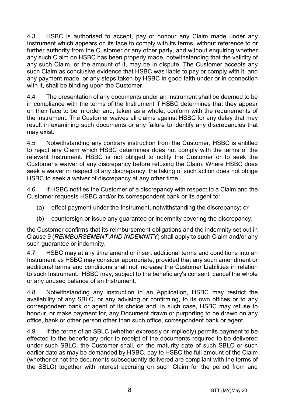4.3 HSBC is authorised to accept, pay or honour any Claim made under any Instrument which appears on its face to comply with its terms, without reference to or further authority from the Customer or any other party, and without enquiring whether any such Claim on HSBC has been properly made, notwithstanding that the validity of any such Claim, or the amount of it, may be in dispute. The Customer accepts any such Claim as conclusive evidence that HSBC was liable to pay or comply with it, and any payment made, or any steps taken by HSBC in good faith under or in connection with it, shall be binding upon the Customer.

4.4 The presentation of any documents under an Instrument shall be deemed to be in compliance with the terms of the Instrument if HSBC determines that they appear on their face to be in order and, taken as a whole, conform with the requirements of the Instrument. The Customer waives all claims against HSBC for any delay that may result in examining such documents or any failure to identify any discrepancies that may exist.

4.5 Notwithstanding any contrary instruction from the Customer, HSBC is entitled to reject any Claim which HSBC determines does not comply with the terms of the relevant Instrument. HSBC is not obliged to notify the Customer or to seek the Customer's waiver of any discrepancy before refusing the Claim. Where HSBC does seek a waiver in respect of any discrepancy, the taking of such action does not oblige HSBC to seek a waiver of discrepancy at any other time.

4.6 If HSBC notifies the Customer of a discrepancy with respect to a Claim and the Customer requests HSBC and/or its correspondent bank or its agent to:

- (a) effect payment under the Instrument, notwithstanding the discrepancy; or
- (b) countersign or issue any guarantee or indemnity covering the discrepancy,

the Customer confirms that its reimbursement obligations and the indemnity set out in Clause [9](#page-13-0) (*[REIMBURSEMENT AND INDEMNITY](#page-13-0)*) shall apply to such Claim and/or any such guarantee or indemnity.

4.7 HSBC may at any time amend or insert additional terms and conditions into an Instrument as HSBC may consider appropriate, provided that any such amendment or additional terms and conditions shall not increase the Customer Liabilities in relation to such Instrument. HSBC may, subject to the beneficiary's consent, cancel the whole or any unused balance of an Instrument.

4.8 Notwithstanding any instruction in an Application, HSBC may restrict the availability of any SBLC, or any advising or confirming, to its own offices or to any correspondent bank or agent of its choice and, in such case, HSBC may refuse to honour, or make payment for, any Document drawn or purporting to be drawn on any office, bank or other person other than such office, correspondent bank or agent.

4.9 If the terms of an SBLC (whether expressly or impliedly) permits payment to be effected to the beneficiary prior to receipt of the documents required to be delivered under such SBLC, the Customer shall, on the maturity date of such SBLC or such earlier date as may be demanded by HSBC, pay to HSBC the full amount of the Claim (whether or not the documents subsequently delivered are compliant with the terms of the SBLC) together with interest accruing on such Claim for the period from and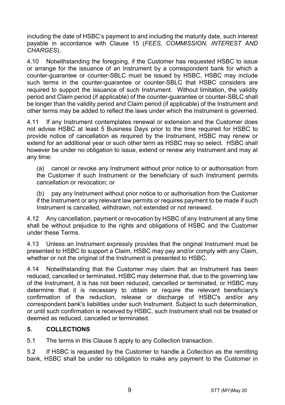including the date of HSBC's payment to and including the maturity date, such interest payable in accordance with Clause [15](#page-16-0) (*[FEES, COMMISSION, INTEREST AND](#page-16-0)  [CHARGES](#page-16-0)*).

4.10 Notwithstanding the foregoing, if the Customer has requested HSBC to issue or arrange for the issuance of an Instrument by a correspondent bank for which a counter-guarantee or counter-SBLC must be issued by HSBC, HSBC may include such terms in the counter-guarantee or counter-SBLC that HSBC considers are required to support the issuance of such Instrument. Without limitation, the validity period and Claim period (if applicable) of the counter-guarantee or counter-SBLC shall be longer than the validity period and Claim period (if applicable) of the Instrument and other terms may be added to reflect the laws under which the Instrument is governed.

4.11 If any Instrument contemplates renewal or extension and the Customer does not advise HSBC at least 5 Business Days prior to the time required for HSBC to provide notice of cancellation as required by the Instrument, HSBC may renew or extend for an additional year or such other term as HSBC may so select. HSBC shall however be under no obligation to issue, extend or renew any Instrument and may at any time:

(a) cancel or revoke any Instrument without prior notice to or authorisation from the Customer if such Instrument or the beneficiary of such Instrument permits cancellation or revocation; or

(b) pay any Instrument without prior notice to or authorisation from the Customer if the Instrument or any relevant law permits or requires payment to be made if such Instrument is cancelled, withdrawn, not extended or not renewed.

4.12 Any cancellation, payment or revocation by HSBC of any Instrument at any time shall be without prejudice to the rights and obligations of HSBC and the Customer under these Terms.

4.13 Unless an Instrument expressly provides that the original Instrument must be presented to HSBC to support a Claim, HSBC may pay and/or comply with any Claim, whether or not the original of the Instrument is presented to HSBC.

4.14 Notwithstanding that the Customer may claim that an Instrument has been reduced, cancelled or terminated, HSBC may determine that, due to the governing law of the Instrument, it is has not been reduced, cancelled or terminated, or HSBC may determine that it is necessary to obtain or require the relevant beneficiary's confirmation of the reduction, release or discharge of HSBC's and/or any correspondent bank's liabilities under such Instrument. Subject to such determination, or until such confirmation is received by HSBC, such Instrument shall not be treated or deemed as reduced, cancelled or terminated.

## <span id="page-8-0"></span>**5. COLLECTIONS**

5.1 The terms in this Claus[e 5](#page-8-0) apply to any Collection transaction.

5.2 If HSBC is requested by the Customer to handle a Collection as the remitting bank, HSBC shall be under no obligation to make any payment to the Customer in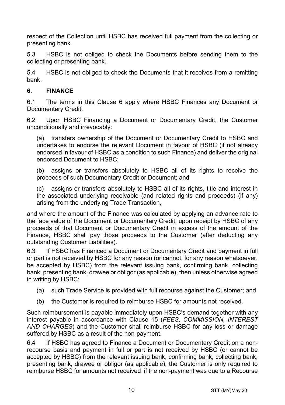respect of the Collection until HSBC has received full payment from the collecting or presenting bank.

5.3 HSBC is not obliged to check the Documents before sending them to the collecting or presenting bank.

5.4 HSBC is not obliged to check the Documents that it receives from a remitting bank.

## <span id="page-9-0"></span>**6. FINANCE**

6.1 The terms in this Clause [6](#page-9-0) apply where HSBC Finances any Document or Documentary Credit.

6.2 Upon HSBC Financing a Document or Documentary Credit, the Customer unconditionally and irrevocably:

(a) transfers ownership of the Document or Documentary Credit to HSBC and undertakes to endorse the relevant Document in favour of HSBC (if not already endorsed in favour of HSBC as a condition to such Finance) and deliver the original endorsed Document to HSBC;

(b) assigns or transfers absolutely to HSBC all of its rights to receive the proceeds of such Documentary Credit or Document; and

(c) assigns or transfers absolutely to HSBC all of its rights, title and interest in the associated underlying receivable (and related rights and proceeds) (if any) arising from the underlying Trade Transaction,

and where the amount of the Finance was calculated by applying an advance rate to the face value of the Document or Documentary Credit, upon receipt by HSBC of any proceeds of that Document or Documentary Credit in excess of the amount of the Finance, HSBC shall pay those proceeds to the Customer (after deducting any outstanding Customer Liabilities).

6.3 If HSBC has Financed a Document or Documentary Credit and payment in full or part is not received by HSBC for any reason (or cannot, for any reason whatsoever, be accepted by HSBC) from the relevant issuing bank, confirming bank, collecting bank, presenting bank, drawee or obligor (as applicable), then unless otherwise agreed in writing by HSBC:

- (a) such Trade Service is provided with full recourse against the Customer; and
- (b) the Customer is required to reimburse HSBC for amounts not received.

Such reimbursement is payable immediately upon HSBC's demand together with any interest payable in accordance with Clause [15](#page-16-0) (*[FEES, COMMISSION, INTEREST](#page-16-0)  [AND CHARGES](#page-16-0)*) and the Customer shall reimburse HSBC for any loss or damage suffered by HSBC as a result of the non-payment.

6.4 If HSBC has agreed to Finance a Document or Documentary Credit on a nonrecourse basis and payment in full or part is not received by HSBC (or cannot be accepted by HSBC) from the relevant issuing bank, confirming bank, collecting bank, presenting bank, drawee or obligor (as applicable), the Customer is only required to reimburse HSBC for amounts not received if the non-payment was due to a Recourse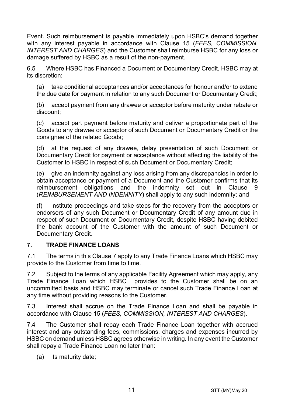Event. Such reimbursement is payable immediately upon HSBC's demand together with any interest payable in accordance with Clause [15](#page-16-0) (*[FEES, COMMISSION,](#page-16-0)  [INTEREST AND CHARGES](#page-16-0)*) and the Customer shall reimburse HSBC for any loss or damage suffered by HSBC as a result of the non-payment.

6.5 Where HSBC has Financed a Document or Documentary Credit, HSBC may at its discretion:

(a) take conditional acceptances and/or acceptances for honour and/or to extend the due date for payment in relation to any such Document or Documentary Credit;

(b) accept payment from any drawee or acceptor before maturity under rebate or discount;

(c) accept part payment before maturity and deliver a proportionate part of the Goods to any drawee or acceptor of such Document or Documentary Credit or the consignee of the related Goods;

(d) at the request of any drawee, delay presentation of such Document or Documentary Credit for payment or acceptance without affecting the liability of the Customer to HSBC in respect of such Document or Documentary Credit;

(e) give an indemnity against any loss arising from any discrepancies in order to obtain acceptance or payment of a Document and the Customer confirms that its reimbursement obligations and the indemnity set out in Clause [9](#page-13-0) (*[REIMBURSEMENT AND INDEMNITY](#page-13-0)*) shall apply to any such indemnity; and

(f) institute proceedings and take steps for the recovery from the acceptors or endorsers of any such Document or Documentary Credit of any amount due in respect of such Document or Documentary Credit, despite HSBC having debited the bank account of the Customer with the amount of such Document or Documentary Credit.

## <span id="page-10-0"></span>**7. TRADE FINANCE LOANS**

7.1 The terms in this Clause [7](#page-10-0) apply to any Trade Finance Loans which HSBC may provide to the Customer from time to time.

7.2 Subject to the terms of any applicable Facility Agreement which may apply, any Trade Finance Loan which HSBC provides to the Customer shall be on an uncommitted basis and HSBC may terminate or cancel such Trade Finance Loan at any time without providing reasons to the Customer.

7.3 Interest shall accrue on the Trade Finance Loan and shall be payable in accordance with Clause [15](#page-16-0) (*[FEES, COMMISSION, INTEREST AND CHARGES](#page-16-0)*).

7.4 The Customer shall repay each Trade Finance Loan together with accrued interest and any outstanding fees, commissions, charges and expenses incurred by HSBC on demand unless HSBC agrees otherwise in writing. In any event the Customer shall repay a Trade Finance Loan no later than:

(a) its maturity date;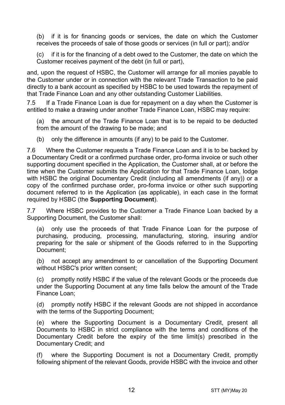(b) if it is for financing goods or services, the date on which the Customer receives the proceeds of sale of those goods or services (in full or part); and/or

(c) if it is for the financing of a debt owed to the Customer, the date on which the Customer receives payment of the debt (in full or part),

and, upon the request of HSBC, the Customer will arrange for all monies payable to the Customer under or in connection with the relevant Trade Transaction to be paid directly to a bank account as specified by HSBC to be used towards the repayment of that Trade Finance Loan and any other outstanding Customer Liabilities.

7.5 If a Trade Finance Loan is due for repayment on a day when the Customer is entitled to make a drawing under another Trade Finance Loan, HSBC may require:

(a) the amount of the Trade Finance Loan that is to be repaid to be deducted from the amount of the drawing to be made; and

(b) only the difference in amounts (if any) to be paid to the Customer.

7.6 Where the Customer requests a Trade Finance Loan and it is to be backed by a Documentary Credit or a confirmed purchase order, pro-forma invoice or such other supporting document specified in the Application, the Customer shall, at or before the time when the Customer submits the Application for that Trade Finance Loan, lodge with HSBC the original Documentary Credit (including all amendments (if any)) or a copy of the confirmed purchase order, pro-forma invoice or other such supporting document referred to in the Application (as applicable), in each case in the format required by HSBC (the **Supporting Document**).

7.7 Where HSBC provides to the Customer a Trade Finance Loan backed by a Supporting Document, the Customer shall:

(a) only use the proceeds of that Trade Finance Loan for the purpose of purchasing, producing, processing, manufacturing, storing, insuring and/or preparing for the sale or shipment of the Goods referred to in the Supporting Document;

(b) not accept any amendment to or cancellation of the Supporting Document without HSBC's prior written consent;

(c) promptly notify HSBC if the value of the relevant Goods or the proceeds due under the Supporting Document at any time falls below the amount of the Trade Finance Loan;

(d) promptly notify HSBC if the relevant Goods are not shipped in accordance with the terms of the Supporting Document;

(e) where the Supporting Document is a Documentary Credit, present all Documents to HSBC in strict compliance with the terms and conditions of the Documentary Credit before the expiry of the time limit(s) prescribed in the Documentary Credit; and

(f) where the Supporting Document is not a Documentary Credit, promptly following shipment of the relevant Goods, provide HSBC with the invoice and other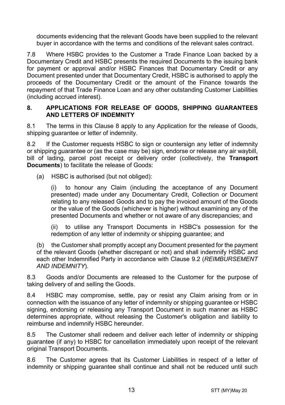documents evidencing that the relevant Goods have been supplied to the relevant buyer in accordance with the terms and conditions of the relevant sales contract.

7.8 Where HSBC provides to the Customer a Trade Finance Loan backed by a Documentary Credit and HSBC presents the required Documents to the issuing bank for payment or approval and/or HSBC Finances that Documentary Credit or any Document presented under that Documentary Credit, HSBC is authorised to apply the proceeds of the Documentary Credit or the amount of the Finance towards the repayment of that Trade Finance Loan and any other outstanding Customer Liabilities (including accrued interest).

#### <span id="page-12-0"></span>**8. APPLICATIONS FOR RELEASE OF GOODS, SHIPPING GUARANTEES AND LETTERS OF INDEMNITY**

8.1 The terms in this Clause [8](#page-12-0) apply to any Application for the release of Goods, shipping quarantee or letter of indemnity.

8.2 If the Customer requests HSBC to sign or countersign any letter of indemnity or shipping guarantee or (as the case may be) sign, endorse or release any air waybill, bill of lading, parcel post receipt or delivery order (collectively, the **Transport Documents**) to facilitate the release of Goods:

(a) HSBC is authorised (but not obliged):

(i) to honour any Claim (including the acceptance of any Document presented) made under any Documentary Credit, Collection or Document relating to any released Goods and to pay the invoiced amount of the Goods or the value of the Goods (whichever is higher) without examining any of the presented Documents and whether or not aware of any discrepancies; and

(ii) to utilise any Transport Documents in HSBC's possession for the redemption of any letter of indemnity or shipping guarantee; and

(b) the Customer shall promptly accept any Document presented for the payment of the relevant Goods (whether discrepant or not) and shall indemnify HSBC and each other Indemnified Party in accordance with Clause [9.2](#page-13-1) (*[REIMBURSEMENT](#page-13-0)  [AND INDEMNITY](#page-13-0)*).

8.3 Goods and/or Documents are released to the Customer for the purpose of taking delivery of and selling the Goods.

8.4 HSBC may compromise, settle, pay or resist any Claim arising from or in connection with the issuance of any letter of indemnity or shipping guarantee or HSBC signing, endorsing or releasing any Transport Document in such manner as HSBC determines appropriate, without releasing the Customer's obligation and liability to reimburse and indemnify HSBC hereunder.

8.5 The Customer shall redeem and deliver each letter of indemnity or shipping guarantee (if any) to HSBC for cancellation immediately upon receipt of the relevant original Transport Documents.

8.6 The Customer agrees that its Customer Liabilities in respect of a letter of indemnity or shipping guarantee shall continue and shall not be reduced until such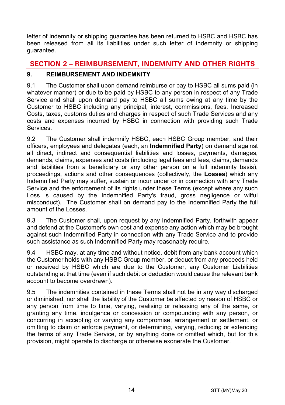letter of indemnity or shipping guarantee has been returned to HSBC and HSBC has been released from all its liabilities under such letter of indemnity or shipping guarantee.

# **SECTION 2 – REIMBURSEMENT, INDEMNITY AND OTHER RIGHTS**

# <span id="page-13-0"></span>**9. REIMBURSEMENT AND INDEMNITY**

9.1 The Customer shall upon demand reimburse or pay to HSBC all sums paid (in whatever manner) or due to be paid by HSBC to any person in respect of any Trade Service and shall upon demand pay to HSBC all sums owing at any time by the Customer to HSBC including any principal, interest, commissions, fees, Increased Costs, taxes, customs duties and charges in respect of such Trade Services and any costs and expenses incurred by HSBC in connection with providing such Trade **Services** 

<span id="page-13-1"></span>9.2 The Customer shall indemnify HSBC, each HSBC Group member, and their officers, employees and delegates (each, an **Indemnified Party**) on demand against all direct, indirect and consequential liabilities and losses, payments, damages, demands, claims, expenses and costs (including legal fees and fees, claims, demands and liabilities from a beneficiary or any other person on a full indemnity basis), proceedings, actions and other consequences (collectively, the **Losses**) which any Indemnified Party may suffer, sustain or incur under or in connection with any Trade Service and the enforcement of its rights under these Terms (except where any such Loss is caused by the Indemnified Party's fraud, gross negligence or wilful misconduct). The Customer shall on demand pay to the Indemnified Party the full amount of the Losses.

9.3 The Customer shall, upon request by any Indemnified Party, forthwith appear and defend at the Customer's own cost and expense any action which may be brought against such Indemnified Party in connection with any Trade Service and to provide such assistance as such Indemnified Party may reasonably require.

9.4 HSBC may, at any time and without notice, debit from any bank account which the Customer holds with any HSBC Group member, or deduct from any proceeds held or received by HSBC which are due to the Customer, any Customer Liabilities outstanding at that time (even if such debit or deduction would cause the relevant bank account to become overdrawn).

9.5 The indemnities contained in these Terms shall not be in any way discharged or diminished, nor shall the liability of the Customer be affected by reason of HSBC or any person from time to time, varying, realising or releasing any of the same, or granting any time, indulgence or concession or compounding with any person, or concurring in accepting or varying any compromise, arrangement or settlement, or omitting to claim or enforce payment, or determining, varying, reducing or extending the terms of any Trade Service, or by anything done or omitted which, but for this provision, might operate to discharge or otherwise exonerate the Customer.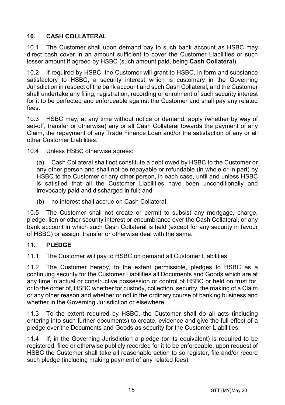# <span id="page-14-1"></span>**10. CASH COLLATERAL**

10.1 The Customer shall upon demand pay to such bank account as HSBC may direct cash cover in an amount sufficient to cover the Customer Liabilities or such lesser amount if agreed by HSBC (such amount paid, being **Cash Collateral**).

10.2 If required by HSBC, the Customer will grant to HSBC, in form and substance satisfactory to HSBC, a security interest which is customary in the Governing Jurisdiction in respect of the bank account and such Cash Collateral, and the Customer shall undertake any filing, registration, recording or enrolment of such security interest for it to be perfected and enforceable against the Customer and shall pay any related fees.

10.3 HSBC may, at any time without notice or demand, apply (whether by way of set-off, transfer or otherwise) any or all Cash Collateral towards the payment of any Claim, the repayment of any Trade Finance Loan and/or the satisfaction of any or all other Customer Liabilities.

10.4 Unless HSBC otherwise agrees:

(a) Cash Collateral shall not constitute a debt owed by HSBC to the Customer or any other person and shall not be repayable or refundable (in whole or in part) by HSBC to the Customer or any other person, in each case, until and unless HSBC is satisfied that all the Customer Liabilities have been unconditionally and irrevocably paid and discharged in full; and

(b) no interest shall accrue on Cash Collateral.

10.5 The Customer shall not create or permit to subsist any mortgage, charge, pledge, lien or other security interest or encumbrance over the Cash Collateral, or any bank account in which such Cash Collateral is held (except for any security in favour of HSBC) or assign, transfer or otherwise deal with the same.

## <span id="page-14-0"></span>**11. PLEDGE**

11.1 The Customer will pay to HSBC on demand all Customer Liabilities.

11.2 The Customer hereby, to the extent permissible, pledges to HSBC as a continuing security for the Customer Liabilities all Documents and Goods which are at any time in actual or constructive possession or control of HSBC or held on trust for, or to the order of, HSBC whether for custody, collection, security, the making of a Claim or any other reason and whether or not in the ordinary course of banking business and whether in the Governing Jurisdiction or elsewhere.

11.3 To the extent required by HSBC, the Customer shall do all acts (including entering into such further documents) to create, evidence and give the full effect of a pledge over the Documents and Goods as security for the Customer Liabilities.

11.4 If, in the Governing Jurisdiction a pledge (or its equivalent) is required to be registered, filed or otherwise publicly recorded for it to be enforceable, upon request of HSBC the Customer shall take all reasonable action to so register, file and/or record such pledge (including making payment of any related fees).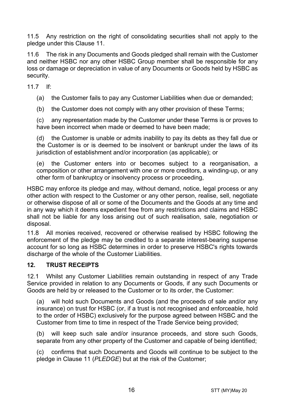11.5 Any restriction on the right of consolidating securities shall not apply to the pledge under this Clause [11.](#page-14-0)

11.6 The risk in any Documents and Goods pledged shall remain with the Customer and neither HSBC nor any other HSBC Group member shall be responsible for any loss or damage or depreciation in value of any Documents or Goods held by HSBC as security.

11.7 If:

(a) the Customer fails to pay any Customer Liabilities when due or demanded;

(b) the Customer does not comply with any other provision of these Terms;

(c) any representation made by the Customer under these Terms is or proves to have been incorrect when made or deemed to have been made;

(d) the Customer is unable or admits inability to pay its debts as they fall due or the Customer is or is deemed to be insolvent or bankrupt under the laws of its jurisdiction of establishment and/or incorporation (as applicable); or

(e) the Customer enters into or becomes subject to a reorganisation, a composition or other arrangement with one or more creditors, a winding-up, or any other form of bankruptcy or insolvency process or proceeding,

HSBC may enforce its pledge and may, without demand, notice, legal process or any other action with respect to the Customer or any other person, realise, sell, negotiate or otherwise dispose of all or some of the Documents and the Goods at any time and in any way which it deems expedient free from any restrictions and claims and HSBC shall not be liable for any loss arising out of such realisation, sale, negotiation or disposal.

11.8 All monies received, recovered or otherwise realised by HSBC following the enforcement of the pledge may be credited to a separate interest-bearing suspense account for so long as HSBC determines in order to preserve HSBC's rights towards discharge of the whole of the Customer Liabilities.

## **12. TRUST RECEIPTS**

12.1 Whilst any Customer Liabilities remain outstanding in respect of any Trade Service provided in relation to any Documents or Goods, if any such Documents or Goods are held by or released to the Customer or to its order, the Customer:

(a) will hold such Documents and Goods (and the proceeds of sale and/or any insurance) on trust for HSBC (or, if a trust is not recognised and enforceable, hold to the order of HSBC) exclusively for the purpose agreed between HSBC and the Customer from time to time in respect of the Trade Service being provided;

(b) will keep such sale and/or insurance proceeds, and store such Goods, separate from any other property of the Customer and capable of being identified;

(c) confirms that such Documents and Goods will continue to be subject to the pledge in Claus[e 11](#page-14-0) (*[PLEDGE](#page-14-0)*) but at the risk of the Customer;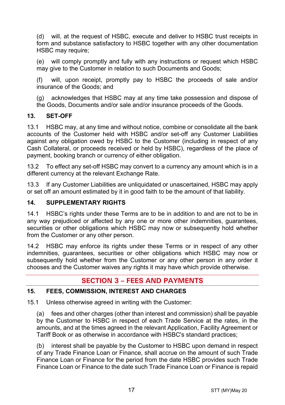(d) will, at the request of HSBC, execute and deliver to HSBC trust receipts in form and substance satisfactory to HSBC together with any other documentation HSBC may require:

(e) will comply promptly and fully with any instructions or request which HSBC may give to the Customer in relation to such Documents and Goods;

(f) will, upon receipt, promptly pay to HSBC the proceeds of sale and/or insurance of the Goods; and

(g) acknowledges that HSBC may at any time take possession and dispose of the Goods, Documents and/or sale and/or insurance proceeds of the Goods.

## **13. SET-OFF**

13.1 HSBC may, at any time and without notice, combine or consolidate all the bank accounts of the Customer held with HSBC and/or set-off any Customer Liabilities against any obligation owed by HSBC to the Customer (including in respect of any Cash Collateral, or proceeds received or held by HSBC), regardless of the place of payment, booking branch or currency of either obligation.

13.2 To effect any set-off HSBC may convert to a currency any amount which is in a different currency at the relevant Exchange Rate.

13.3 If any Customer Liabilities are unliquidated or unascertained, HSBC may apply or set off an amount estimated by it in good faith to be the amount of that liability.

## **14. SUPPLEMENTARY RIGHTS**

14.1 HSBC's rights under these Terms are to be in addition to and are not to be in any way prejudiced or affected by any one or more other indemnities, guarantees, securities or other obligations which HSBC may now or subsequently hold whether from the Customer or any other person.

14.2 HSBC may enforce its rights under these Terms or in respect of any other indemnities, guarantees, securities or other obligations which HSBC may now or subsequently hold whether from the Customer or any other person in any order it chooses and the Customer waives any rights it may have which provide otherwise.

# **SECTION 3 – FEES AND PAYMENTS**

## <span id="page-16-0"></span>**15. FEES, COMMISSION, INTEREST AND CHARGES**

15.1 Unless otherwise agreed in writing with the Customer:

(a) fees and other charges (other than interest and commission) shall be payable by the Customer to HSBC in respect of each Trade Service at the rates, in the amounts, and at the times agreed in the relevant Application, Facility Agreement or Tariff Book or as otherwise in accordance with HSBC's standard practices;

(b) interest shall be payable by the Customer to HSBC upon demand in respect of any Trade Finance Loan or Finance, shall accrue on the amount of such Trade Finance Loan or Finance for the period from the date HSBC provides such Trade Finance Loan or Finance to the date such Trade Finance Loan or Finance is repaid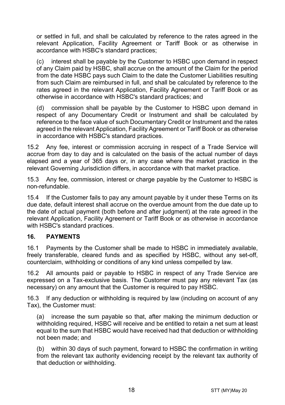or settled in full, and shall be calculated by reference to the rates agreed in the relevant Application, Facility Agreement or Tariff Book or as otherwise in accordance with HSBC's standard practices;

(c) interest shall be payable by the Customer to HSBC upon demand in respect of any Claim paid by HSBC, shall accrue on the amount of the Claim for the period from the date HSBC pays such Claim to the date the Customer Liabilities resulting from such Claim are reimbursed in full, and shall be calculated by reference to the rates agreed in the relevant Application, Facility Agreement or Tariff Book or as otherwise in accordance with HSBC's standard practices; and

(d) commission shall be payable by the Customer to HSBC upon demand in respect of any Documentary Credit or Instrument and shall be calculated by reference to the face value of such Documentary Credit or Instrument and the rates agreed in the relevant Application, Facility Agreement or Tariff Book or as otherwise in accordance with HSBC's standard practices.

15.2 Any fee, interest or commission accruing in respect of a Trade Service will accrue from day to day and is calculated on the basis of the actual number of days elapsed and a year of 365 days or, in any case where the market practice in the relevant Governing Jurisdiction differs, in accordance with that market practice.

15.3 Any fee, commission, interest or charge payable by the Customer to HSBC is non-refundable.

15.4 If the Customer fails to pay any amount payable by it under these Terms on its due date, default interest shall accrue on the overdue amount from the due date up to the date of actual payment (both before and after judgment) at the rate agreed in the relevant Application, Facility Agreement or Tariff Book or as otherwise in accordance with HSBC's standard practices.

## **16. PAYMENTS**

16.1 Payments by the Customer shall be made to HSBC in immediately available, freely transferable, cleared funds and as specified by HSBC, without any set-off, counterclaim, withholding or conditions of any kind unless compelled by law.

16.2 All amounts paid or payable to HSBC in respect of any Trade Service are expressed on a Tax-exclusive basis. The Customer must pay any relevant Tax (as necessary) on any amount that the Customer is required to pay HSBC.

16.3 If any deduction or withholding is required by law (including on account of any Tax), the Customer must:

(a) increase the sum payable so that, after making the minimum deduction or withholding required, HSBC will receive and be entitled to retain a net sum at least equal to the sum that HSBC would have received had that deduction or withholding not been made; and

(b) within 30 days of such payment, forward to HSBC the confirmation in writing from the relevant tax authority evidencing receipt by the relevant tax authority of that deduction or withholding.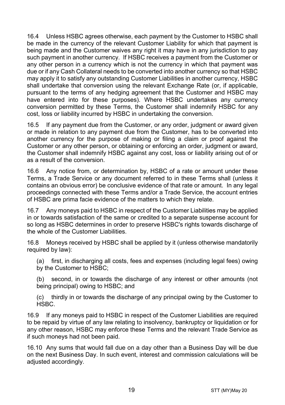16.4 Unless HSBC agrees otherwise, each payment by the Customer to HSBC shall be made in the currency of the relevant Customer Liability for which that payment is being made and the Customer waives any right it may have in any jurisdiction to pay such payment in another currency. If HSBC receives a payment from the Customer or any other person in a currency which is not the currency in which that payment was due or if any Cash Collateral needs to be converted into another currency so that HSBC may apply it to satisfy any outstanding Customer Liabilities in another currency, HSBC shall undertake that conversion using the relevant Exchange Rate (or, if applicable, pursuant to the terms of any hedging agreement that the Customer and HSBC may have entered into for these purposes). Where HSBC undertakes any currency conversion permitted by these Terms, the Customer shall indemnify HSBC for any cost, loss or liability incurred by HSBC in undertaking the conversion.

16.5 If any payment due from the Customer, or any order, judgment or award given or made in relation to any payment due from the Customer, has to be converted into another currency for the purpose of making or filing a claim or proof against the Customer or any other person, or obtaining or enforcing an order, judgment or award, the Customer shall indemnify HSBC against any cost, loss or liability arising out of or as a result of the conversion.

16.6 Any notice from, or determination by, HSBC of a rate or amount under these Terms, a Trade Service or any document referred to in these Terms shall (unless it contains an obvious error) be conclusive evidence of that rate or amount. In any legal proceedings connected with these Terms and/or a Trade Service, the account entries of HSBC are prima facie evidence of the matters to which they relate.

16.7 Any moneys paid to HSBC in respect of the Customer Liabilities may be applied in or towards satisfaction of the same or credited to a separate suspense account for so long as HSBC determines in order to preserve HSBC's rights towards discharge of the whole of the Customer Liabilities.

16.8 Moneys received by HSBC shall be applied by it (unless otherwise mandatorily required by law):

(a) first, in discharging all costs, fees and expenses (including legal fees) owing by the Customer to HSBC;

(b) second, in or towards the discharge of any interest or other amounts (not being principal) owing to HSBC; and

(c) thirdly in or towards the discharge of any principal owing by the Customer to HSBC.

16.9 If any moneys paid to HSBC in respect of the Customer Liabilities are required to be repaid by virtue of any law relating to insolvency, bankruptcy or liquidation or for any other reason, HSBC may enforce these Terms and the relevant Trade Service as if such moneys had not been paid.

16.10 Any sums that would fall due on a day other than a Business Day will be due on the next Business Day. In such event, interest and commission calculations will be adiusted accordingly.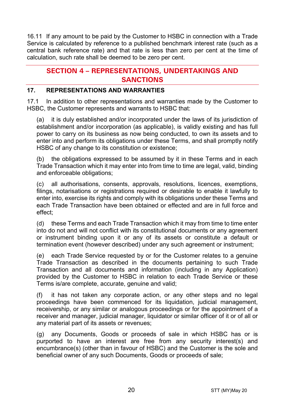16.11 If any amount to be paid by the Customer to HSBC in connection with a Trade Service is calculated by reference to a published benchmark interest rate (such as a central bank reference rate) and that rate is less than zero per cent at the time of calculation, such rate shall be deemed to be zero per cent.

# **SECTION 4 – REPRESENTATIONS, UNDERTAKINGS AND SANCTIONS**

## **17. REPRESENTATIONS AND WARRANTIES**

17.1 In addition to other representations and warranties made by the Customer to HSBC, the Customer represents and warrants to HSBC that:

(a) it is duly established and/or incorporated under the laws of its jurisdiction of establishment and/or incorporation (as applicable), is validly existing and has full power to carry on its business as now being conducted, to own its assets and to enter into and perform its obligations under these Terms, and shall promptly notify HSBC of any change to its constitution or existence;

(b) the obligations expressed to be assumed by it in these Terms and in each Trade Transaction which it may enter into from time to time are legal, valid, binding and enforceable obligations;

(c) all authorisations, consents, approvals, resolutions, licences, exemptions, filings, notarisations or registrations required or desirable to enable it lawfully to enter into, exercise its rights and comply with its obligations under these Terms and each Trade Transaction have been obtained or effected and are in full force and effect;

(d) these Terms and each Trade Transaction which it may from time to time enter into do not and will not conflict with its constitutional documents or any agreement or instrument binding upon it or any of its assets or constitute a default or termination event (however described) under any such agreement or instrument;

(e) each Trade Service requested by or for the Customer relates to a genuine Trade Transaction as described in the documents pertaining to such Trade Transaction and all documents and information (including in any Application) provided by the Customer to HSBC in relation to each Trade Service or these Terms is/are complete, accurate, genuine and valid;

(f) it has not taken any corporate action, or any other steps and no legal proceedings have been commenced for its liquidation, judicial management, receivership, or any similar or analogous proceedings or for the appointment of a receiver and manager, judicial manager, liquidator or similar officer of it or of all or any material part of its assets or revenues;

(g) any Documents, Goods or proceeds of sale in which HSBC has or is purported to have an interest are free from any security interest(s) and encumbrance(s) (other than in favour of HSBC) and the Customer is the sole and beneficial owner of any such Documents, Goods or proceeds of sale;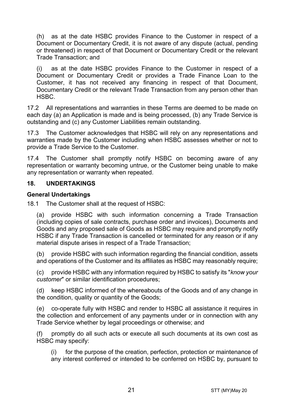(h) as at the date HSBC provides Finance to the Customer in respect of a Document or Documentary Credit, it is not aware of any dispute (actual, pending or threatened) in respect of that Document or Documentary Credit or the relevant Trade Transaction; and

(i) as at the date HSBC provides Finance to the Customer in respect of a Document or Documentary Credit or provides a Trade Finance Loan to the Customer, it has not received any financing in respect of that Document, Documentary Credit or the relevant Trade Transaction from any person other than HSBC.

17.2 All representations and warranties in these Terms are deemed to be made on each day (a) an Application is made and is being processed, (b) any Trade Service is outstanding and (c) any Customer Liabilities remain outstanding.

17.3 The Customer acknowledges that HSBC will rely on any representations and warranties made by the Customer including when HSBC assesses whether or not to provide a Trade Service to the Customer.

17.4 The Customer shall promptly notify HSBC on becoming aware of any representation or warranty becoming untrue, or the Customer being unable to make any representation or warranty when repeated.

#### **18. UNDERTAKINGS**

#### **General Undertakings**

18.1 The Customer shall at the request of HSBC:

(a) provide HSBC with such information concerning a Trade Transaction (including copies of sale contracts, purchase order and invoices), Documents and Goods and any proposed sale of Goods as HSBC may require and promptly notify HSBC if any Trade Transaction is cancelled or terminated for any reason or if any material dispute arises in respect of a Trade Transaction;

(b) provide HSBC with such information regarding the financial condition, assets and operations of the Customer and its affiliates as HSBC may reasonably require;

(c) provide HSBC with any information required by HSBC to satisfy its "*know your customer*" or similar identification procedures;

(d) keep HSBC informed of the whereabouts of the Goods and of any change in the condition, quality or quantity of the Goods;

(e) co-operate fully with HSBC and render to HSBC all assistance it requires in the collection and enforcement of any payments under or in connection with any Trade Service whether by legal proceedings or otherwise; and

(f) promptly do all such acts or execute all such documents at its own cost as HSBC may specify:

(i) for the purpose of the creation, perfection, protection or maintenance of any interest conferred or intended to be conferred on HSBC by, pursuant to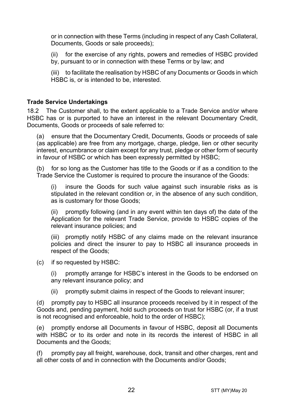or in connection with these Terms (including in respect of any Cash Collateral, Documents, Goods or sale proceeds);

(ii) for the exercise of any rights, powers and remedies of HSBC provided by, pursuant to or in connection with these Terms or by law; and

(iii) to facilitate the realisation by HSBC of any Documents or Goods in which HSBC is, or is intended to be, interested.

#### **Trade Service Undertakings**

18.2 The Customer shall, to the extent applicable to a Trade Service and/or where HSBC has or is purported to have an interest in the relevant Documentary Credit, Documents, Goods or proceeds of sale referred to:

(a) ensure that the Documentary Credit, Documents, Goods or proceeds of sale (as applicable) are free from any mortgage, charge, pledge, lien or other security interest, encumbrance or claim except for any trust, pledge or other form of security in favour of HSBC or which has been expressly permitted by HSBC;

(b) for so long as the Customer has title to the Goods or if as a condition to the Trade Service the Customer is required to procure the insurance of the Goods:

(i) insure the Goods for such value against such insurable risks as is stipulated in the relevant condition or, in the absence of any such condition, as is customary for those Goods;

(ii) promptly following (and in any event within ten days of) the date of the Application for the relevant Trade Service, provide to HSBC copies of the relevant insurance policies; and

(iii) promptly notify HSBC of any claims made on the relevant insurance policies and direct the insurer to pay to HSBC all insurance proceeds in respect of the Goods;

(c) if so requested by HSBC:

(i) promptly arrange for HSBC's interest in the Goods to be endorsed on any relevant insurance policy; and

(ii) promptly submit claims in respect of the Goods to relevant insurer;

(d) promptly pay to HSBC all insurance proceeds received by it in respect of the Goods and, pending payment, hold such proceeds on trust for HSBC (or, if a trust is not recognised and enforceable, hold to the order of HSBC);

(e) promptly endorse all Documents in favour of HSBC, deposit all Documents with HSBC or to its order and note in its records the interest of HSBC in all Documents and the Goods;

(f) promptly pay all freight, warehouse, dock, transit and other charges, rent and all other costs of and in connection with the Documents and/or Goods;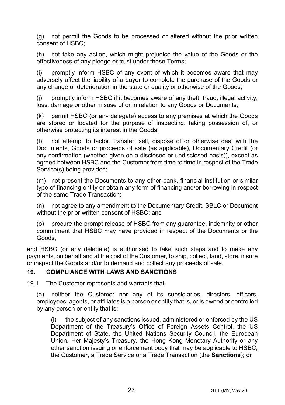(g) not permit the Goods to be processed or altered without the prior written consent of HSBC;

(h) not take any action, which might prejudice the value of the Goods or the effectiveness of any pledge or trust under these Terms;

(i) promptly inform HSBC of any event of which it becomes aware that may adversely affect the liability of a buyer to complete the purchase of the Goods or any change or deterioration in the state or quality or otherwise of the Goods;

(j) promptly inform HSBC if it becomes aware of any theft, fraud, illegal activity, loss, damage or other misuse of or in relation to any Goods or Documents;

(k) permit HSBC (or any delegate) access to any premises at which the Goods are stored or located for the purpose of inspecting, taking possession of, or otherwise protecting its interest in the Goods;

(l) not attempt to factor, transfer, sell, dispose of or otherwise deal with the Documents, Goods or proceeds of sale (as applicable), Documentary Credit (or any confirmation (whether given on a disclosed or undisclosed basis)), except as agreed between HSBC and the Customer from time to time in respect of the Trade Service(s) being provided;

(m) not present the Documents to any other bank, financial institution or similar type of financing entity or obtain any form of financing and/or borrowing in respect of the same Trade Transaction;

(n) not agree to any amendment to the Documentary Credit, SBLC or Document without the prior written consent of HSBC; and

(o) procure the prompt release of HSBC from any guarantee, indemnity or other commitment that HSBC may have provided in respect of the Documents or the Goods,

and HSBC (or any delegate) is authorised to take such steps and to make any payments, on behalf and at the cost of the Customer, to ship, collect, land, store, insure or inspect the Goods and/or to demand and collect any proceeds of sale.

#### <span id="page-22-0"></span>**19. COMPLIANCE WITH LAWS AND SANCTIONS**

19.1 The Customer represents and warrants that:

(a) neither the Customer nor any of its subsidiaries, directors, officers, employees, agents, or affiliates is a person or entity that is, or is owned or controlled by any person or entity that is:

(i) the subject of any sanctions issued, administered or enforced by the US Department of the Treasury's Office of Foreign Assets Control, the US Department of State, the United Nations Security Council, the European Union, Her Majesty's Treasury, the Hong Kong Monetary Authority or any other sanction issuing or enforcement body that may be applicable to HSBC, the Customer, a Trade Service or a Trade Transaction (the **Sanctions**); or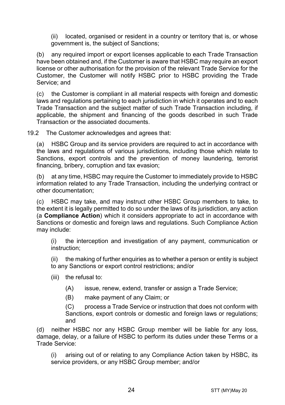(ii) located, organised or resident in a country or territory that is, or whose government is, the subject of Sanctions;

(b) any required import or export licenses applicable to each Trade Transaction have been obtained and, if the Customer is aware that HSBC may require an export license or other authorisation for the provision of the relevant Trade Service for the Customer, the Customer will notify HSBC prior to HSBC providing the Trade Service; and

(c) the Customer is compliant in all material respects with foreign and domestic laws and regulations pertaining to each jurisdiction in which it operates and to each Trade Transaction and the subject matter of such Trade Transaction including, if applicable, the shipment and financing of the goods described in such Trade Transaction or the associated documents.

19.2 The Customer acknowledges and agrees that:

(a) HSBC Group and its service providers are required to act in accordance with the laws and regulations of various jurisdictions, including those which relate to Sanctions, export controls and the prevention of money laundering, terrorist financing, bribery, corruption and tax evasion;

(b) at any time, HSBC may require the Customer to immediately provide to HSBC information related to any Trade Transaction, including the underlying contract or other documentation;

(c) HSBC may take, and may instruct other HSBC Group members to take, to the extent it is legally permitted to do so under the laws of its jurisdiction, any action (a **Compliance Action**) which it considers appropriate to act in accordance with Sanctions or domestic and foreign laws and regulations. Such Compliance Action may include:

(i) the interception and investigation of any payment, communication or instruction;

(ii) the making of further enquiries as to whether a person or entity is subject to any Sanctions or export control restrictions; and/or

- (iii) the refusal to:
	- (A) issue, renew, extend, transfer or assign a Trade Service;
	- (B) make payment of any Claim; or

(C) process a Trade Service or instruction that does not conform with Sanctions, export controls or domestic and foreign laws or regulations; and

(d) neither HSBC nor any HSBC Group member will be liable for any loss, damage, delay, or a failure of HSBC to perform its duties under these Terms or a Trade Service:

(i) arising out of or relating to any Compliance Action taken by HSBC, its service providers, or any HSBC Group member; and/or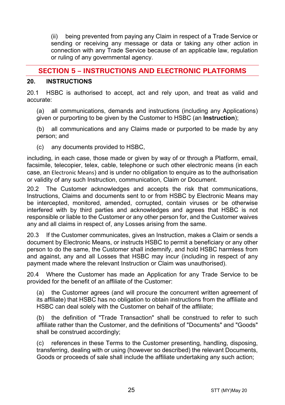(ii) being prevented from paying any Claim in respect of a Trade Service or sending or receiving any message or data or taking any other action in connection with any Trade Service because of an applicable law, regulation or ruling of any governmental agency.

# **SECTION 5 – INSTRUCTIONS AND ELECTRONIC PLATFORMS**

#### <span id="page-24-0"></span>**20. INSTRUCTIONS**

20.1 HSBC is authorised to accept, act and rely upon, and treat as valid and accurate:

(a) all communications, demands and instructions (including any Applications) given or purporting to be given by the Customer to HSBC (an **Instruction**);

(b) all communications and any Claims made or purported to be made by any person; and

(c) any documents provided to HSBC,

including, in each case, those made or given by way of or through a Platform, email, facsimile, telecopier, telex, cable, telephone or such other electronic means (in each case, an Electronic Means) and is under no obligation to enquire as to the authorisation or validity of any such Instruction, communication, Claim or Document.

20.2 The Customer acknowledges and accepts the risk that communications, Instructions, Claims and documents sent to or from HSBC by Electronic Means may be intercepted, monitored, amended, corrupted, contain viruses or be otherwise interfered with by third parties and acknowledges and agrees that HSBC is not responsible or liable to the Customer or any other person for, and the Customer waives any and all claims in respect of, any Losses arising from the same.

20.3 If the Customer communicates, gives an Instruction, makes a Claim or sends a document by Electronic Means, or instructs HSBC to permit a beneficiary or any other person to do the same, the Customer shall indemnify, and hold HSBC harmless from and against, any and all Losses that HSBC may incur (including in respect of any payment made where the relevant Instruction or Claim was unauthorised).

20.4 Where the Customer has made an Application for any Trade Service to be provided for the benefit of an affiliate of the Customer:

(a) the Customer agrees (and will procure the concurrent written agreement of its affiliate) that HSBC has no obligation to obtain instructions from the affiliate and HSBC can deal solely with the Customer on behalf of the affiliate;

(b) the definition of "Trade Transaction" shall be construed to refer to such affiliate rather than the Customer, and the definitions of "Documents" and "Goods" shall be construed accordingly;

(c) references in these Terms to the Customer presenting, handling, disposing, transferring, dealing with or using (however so described) the relevant Documents, Goods or proceeds of sale shall include the affiliate undertaking any such action;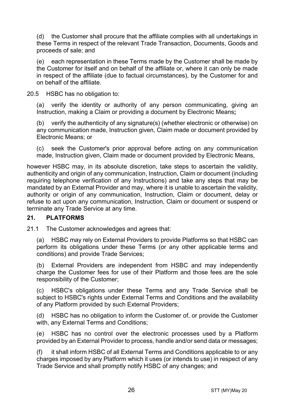(d) the Customer shall procure that the affiliate complies with all undertakings in these Terms in respect of the relevant Trade Transaction, Documents, Goods and proceeds of sale; and

(e) each representation in these Terms made by the Customer shall be made by the Customer for itself and on behalf of the affiliate or, where it can only be made in respect of the affiliate (due to factual circumstances), by the Customer for and on behalf of the affiliate.

20.5 HSBC has no obligation to:

(a) verify the identity or authority of any person communicating, giving an Instruction, making a Claim or providing a document by Electronic Means**;**

(b) verify the authenticity of any signature(s) (whether electronic or otherwise) on any communication made, Instruction given, Claim made or document provided by Electronic Means; or

(c) seek the Customer's prior approval before acting on any communication made, Instruction given, Claim made or document provided by Electronic Means,

however HSBC may, in its absolute discretion, take steps to ascertain the validity, authenticity and origin of any communication, Instruction, Claim or document (including requiring telephone verification of any Instructions) and take any steps that may be mandated by an External Provider and may, where it is unable to ascertain the validity, authority or origin of any communication, Instruction, Claim or document, delay or refuse to act upon any communication, Instruction, Claim or document or suspend or terminate any Trade Service at any time.

## **21. PLATFORMS**

21.1 The Customer acknowledges and agrees that:

(a) HSBC may rely on External Providers to provide Platforms so that HSBC can perform its obligations under these Terms (or any other applicable terms and conditions) and provide Trade Services;

(b) External Providers are independent from HSBC and may independently charge the Customer fees for use of their Platform and those fees are the sole responsibility of the Customer;

(c) HSBC's obligations under these Terms and any Trade Service shall be subject to HSBC's rights under External Terms and Conditions and the availability of any Platform provided by such External Providers;

(d) HSBC has no obligation to inform the Customer of, or provide the Customer with, any External Terms and Conditions;

(e) HSBC has no control over the electronic processes used by a Platform provided by an External Provider to process, handle and/or send data or messages;

(f) it shall inform HSBC of all External Terms and Conditions applicable to or any charges imposed by any Platform which it uses (or intends to use) in respect of any Trade Service and shall promptly notify HSBC of any changes; and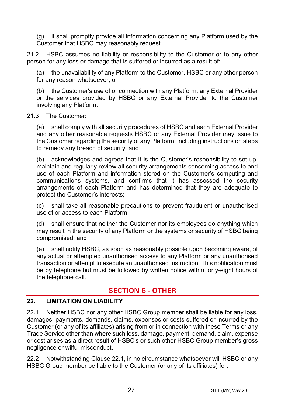(g) it shall promptly provide all information concerning any Platform used by the Customer that HSBC may reasonably request.

21.2 HSBC assumes no liability or responsibility to the Customer or to any other person for any loss or damage that is suffered or incurred as a result of:

the unavailability of any Platform to the Customer, HSBC or any other person for any reason whatsoever; or

(b) the Customer's use of or connection with any Platform, any External Provider or the services provided by HSBC or any External Provider to the Customer involving any Platform.

#### 21.3 The Customer:

(a) shall comply with all security procedures of HSBC and each External Provider and any other reasonable requests HSBC or any External Provider may issue to the Customer regarding the security of any Platform, including instructions on steps to remedy any breach of security; and

(b) acknowledges and agrees that it is the Customer's responsibility to set up, maintain and regularly review all security arrangements concerning access to and use of each Platform and information stored on the Customer's computing and communications systems, and confirms that it has assessed the security arrangements of each Platform and has determined that they are adequate to protect the Customer's interests;

(c) shall take all reasonable precautions to prevent fraudulent or unauthorised use of or access to each Platform;

(d) shall ensure that neither the Customer nor its employees do anything which may result in the security of any Platform or the systems or security of HSBC being compromised; and

(e) shall notify HSBC, as soon as reasonably possible upon becoming aware, of any actual or attempted unauthorised access to any Platform or any unauthorised transaction or attempt to execute an unauthorised Instruction. This notification must be by telephone but must be followed by written notice within forty-eight hours of the telephone call.

# **SECTION 6 - OTHER**

## **22. LIMITATION ON LIABILITY**

<span id="page-26-0"></span>22.1 Neither HSBC nor any other HSBC Group member shall be liable for any loss, damages, payments, demands, claims, expenses or costs suffered or incurred by the Customer (or any of its affiliates) arising from or in connection with these Terms or any Trade Service other than where such loss, damage, payment, demand, claim, expense or cost arises as a direct result of HSBC's or such other HSBC Group member's gross negligence or wilful misconduct.

<span id="page-26-1"></span>22.2 Notwithstanding Clause [22.1,](#page-26-0) in no circumstance whatsoever will HSBC or any HSBC Group member be liable to the Customer (or any of its affiliates) for: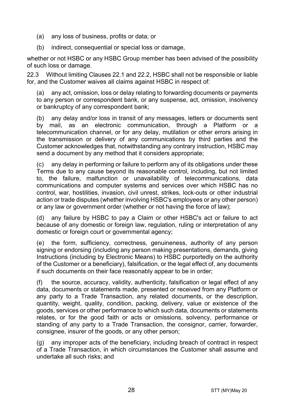- (a) any loss of business, profits or data; or
- (b) indirect, consequential or special loss or damage,

whether or not HSBC or any HSBC Group member has been advised of the possibility of such loss or damage.

22.3 Without limiting Clauses [22.1](#page-26-0) and [22.2,](#page-26-1) HSBC shall not be responsible or liable for, and the Customer waives all claims against HSBC in respect of:

(a) any act, omission, loss or delay relating to forwarding documents or payments to any person or correspondent bank, or any suspense, act, omission, insolvency or bankruptcy of any correspondent bank;

(b) any delay and/or loss in transit of any messages, letters or documents sent by mail, as an electronic communication, through a Platform or a telecommunication channel, or for any delay, mutilation or other errors arising in the transmission or delivery of any communications by third parties and the Customer acknowledges that, notwithstanding any contrary instruction, HSBC may send a document by any method that it considers appropriate;

(c) any delay in performing or failure to perform any of its obligations under these Terms due to any cause beyond its reasonable control, including, but not limited to, the failure, malfunction or unavailability of telecommunications, data communications and computer systems and services over which HSBC has no control, war, hostilities, invasion, civil unrest, strikes, lock-outs or other industrial action or trade disputes (whether involving HSBC's employees or any other person) or any law or government order (whether or not having the force of law);

(d) any failure by HSBC to pay a Claim or other HSBC's act or failure to act because of any domestic or foreign law, regulation, ruling or interpretation of any domestic or foreign court or governmental agency;

(e) the form, sufficiency, correctness, genuineness, authority of any person signing or endorsing (including any person making presentations, demands, giving Instructions (including by Electronic Means) to HSBC purportedly on the authority of the Customer or a beneficiary), falsification, or the legal effect of, any documents if such documents on their face reasonably appear to be in order;

(f) the source, accuracy, validity, authenticity, falsification or legal effect of any data, documents or statements made, presented or received from any Platform or any party to a Trade Transaction, any related documents, or the description, quantity, weight, quality, condition, packing, delivery, value or existence of the goods, services or other performance to which such data, documents or statements relates, or for the good faith or acts or omissions, solvency, performance or standing of any party to a Trade Transaction, the consignor, carrier, forwarder, consignee, insurer of the goods, or any other person;

(g) any improper acts of the beneficiary, including breach of contract in respect of a Trade Transaction, in which circumstances the Customer shall assume and undertake all such risks; and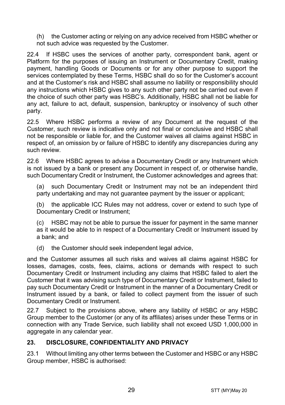(h) the Customer acting or relying on any advice received from HSBC whether or not such advice was requested by the Customer.

22.4 If HSBC uses the services of another party, correspondent bank, agent or Platform for the purposes of issuing an Instrument or Documentary Credit, making payment, handling Goods or Documents or for any other purpose to support the services contemplated by these Terms, HSBC shall do so for the Customer's account and at the Customer's risk and HSBC shall assume no liability or responsibility should any instructions which HSBC gives to any such other party not be carried out even if the choice of such other party was HSBC's. Additionally, HSBC shall not be liable for any act, failure to act, default, suspension, bankruptcy or insolvency of such other party.

22.5 Where HSBC performs a review of any Document at the request of the Customer, such review is indicative only and not final or conclusive and HSBC shall not be responsible or liable for, and the Customer waives all claims against HSBC in respect of, an omission by or failure of HSBC to identify any discrepancies during any such review.

22.6 Where HSBC agrees to advise a Documentary Credit or any Instrument which is not issued by a bank or present any Document in respect of, or otherwise handle, such Documentary Credit or Instrument, the Customer acknowledges and agrees that:

(a) such Documentary Credit or Instrument may not be an independent third party undertaking and may not quarantee payment by the issuer or applicant;

(b) the applicable ICC Rules may not address, cover or extend to such type of Documentary Credit or Instrument;

(c) HSBC may not be able to pursue the issuer for payment in the same manner as it would be able to in respect of a Documentary Credit or Instrument issued by a bank; and

(d) the Customer should seek independent legal advice,

and the Customer assumes all such risks and waives all claims against HSBC for losses, damages, costs, fees, claims, actions or demands with respect to such Documentary Credit or Instrument including any claims that HSBC failed to alert the Customer that it was advising such type of Documentary Credit or Instrument, failed to pay such Documentary Credit or Instrument in the manner of a Documentary Credit or Instrument issued by a bank, or failed to collect payment from the issuer of such Documentary Credit or Instrument.

22.7 Subject to the provisions above, where any liability of HSBC or any HSBC Group member to the Customer (or any of its affiliates) arises under these Terms or in connection with any Trade Service, such liability shall not exceed USD 1,000,000 in aggregate in any calendar year.

## <span id="page-28-0"></span>**23. DISCLOSURE, CONFIDENTIALITY AND PRIVACY**

23.1 Without limiting any other terms between the Customer and HSBC or any HSBC Group member, HSBC is authorised: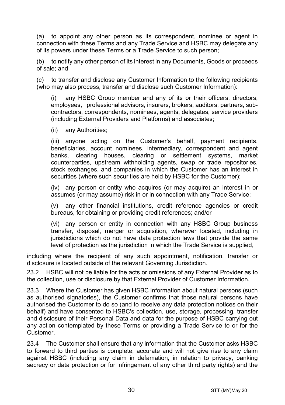<span id="page-29-0"></span>(a) to appoint any other person as its correspondent, nominee or agent in connection with these Terms and any Trade Service and HSBC may delegate any of its powers under these Terms or a Trade Service to such person;

(b) to notify any other person of its interest in any Documents, Goods or proceeds of sale; and

(c) to transfer and disclose any Customer Information to the following recipients (who may also process, transfer and disclose such Customer Information):

(i) any HSBC Group member and any of its or their officers, directors, employees, professional advisors, insurers, brokers, auditors, partners, subcontractors, correspondents, nominees, agents, delegates, service providers (including External Providers and Platforms) and associates;

(ii) any Authorities;

(iii) anyone acting on the Customer's behalf, payment recipients, beneficiaries, account nominees, intermediary, correspondent and agent banks, clearing houses, clearing or settlement systems, market counterparties, upstream withholding agents, swap or trade repositories, stock exchanges, and companies in which the Customer has an interest in securities (where such securities are held by HSBC for the Customer);

(iv) any person or entity who acquires (or may acquire) an interest in or assumes (or may assume) risk in or in connection with any Trade Service;

(v) any other financial institutions, credit reference agencies or credit bureaus, for obtaining or providing credit references; and/or

(vi) any person or entity in connection with any HSBC Group business transfer, disposal, merger or acquisition, wherever located, including in jurisdictions which do not have data protection laws that provide the same level of protection as the jurisdiction in which the Trade Service is supplied,

including where the recipient of any such appointment, notification, transfer or disclosure is located outside of the relevant Governing Jurisdiction.

23.2 HSBC will not be liable for the acts or omissions of any External Provider as to the collection, use or disclosure by that External Provider of Customer Information.

23.3 Where the Customer has given HSBC information about natural persons (such as authorised signatories), the Customer confirms that those natural persons have authorised the Customer to do so (and to receive any data protection notices on their behalf) and have consented to HSBC's collection, use, storage, processing, transfer and disclosure of their Personal Data and data for the purpose of HSBC carrying out any action contemplated by these Terms or providing a Trade Service to or for the Customer.

23.4 The Customer shall ensure that any information that the Customer asks HSBC to forward to third parties is complete, accurate and will not give rise to any claim against HSBC (including any claim in defamation, in relation to privacy, banking secrecy or data protection or for infringement of any other third party rights) and the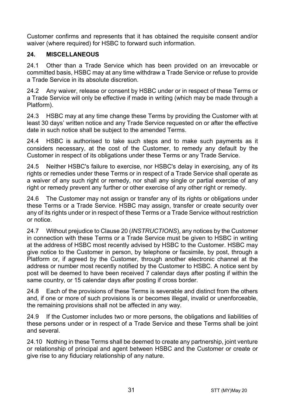Customer confirms and represents that it has obtained the requisite consent and/or waiver (where required) for HSBC to forward such information.

## **24. MISCELLANEOUS**

24.1 Other than a Trade Service which has been provided on an irrevocable or committed basis, HSBC may at any time withdraw a Trade Service or refuse to provide a Trade Service in its absolute discretion.

24.2 Any waiver, release or consent by HSBC under or in respect of these Terms or a Trade Service will only be effective if made in writing (which may be made through a Platform).

24.3 HSBC may at any time change these Terms by providing the Customer with at least 30 days' written notice and any Trade Service requested on or after the effective date in such notice shall be subject to the amended Terms.

24.4 HSBC is authorised to take such steps and to make such payments as it considers necessary, at the cost of the Customer, to remedy any default by the Customer in respect of its obligations under these Terms or any Trade Service.

24.5 Neither HSBC's failure to exercise, nor HSBC's delay in exercising, any of its rights or remedies under these Terms or in respect of a Trade Service shall operate as a waiver of any such right or remedy, nor shall any single or partial exercise of any right or remedy prevent any further or other exercise of any other right or remedy.

24.6 The Customer may not assign or transfer any of its rights or obligations under these Terms or a Trade Service. HSBC may assign, transfer or create security over any of its rights under or in respect of these Terms or a Trade Service without restriction or notice.

24.7 Without prejudice to Claus[e 20](#page-24-0) (*[INSTRUCTIONS](#page-24-0)*), any notices by the Customer in connection with these Terms or a Trade Service must be given to HSBC in writing at the address of HSBC most recently advised by HSBC to the Customer. HSBC may give notice to the Customer in person, by telephone or facsimile, by post, through a Platform or, if agreed by the Customer, through another electronic channel at the address or number most recently notified by the Customer to HSBC. A notice sent by post will be deemed to have been received 7 calendar days after posting if within the same country, or 15 calendar days after posting if cross border.

24.8 Each of the provisions of these Terms is severable and distinct from the others and, if one or more of such provisions is or becomes illegal, invalid or unenforceable, the remaining provisions shall not be affected in any way.

24.9 If the Customer includes two or more persons, the obligations and liabilities of these persons under or in respect of a Trade Service and these Terms shall be joint and several.

24.10 Nothing in these Terms shall be deemed to create any partnership, joint venture or relationship of principal and agent between HSBC and the Customer or create or give rise to any fiduciary relationship of any nature.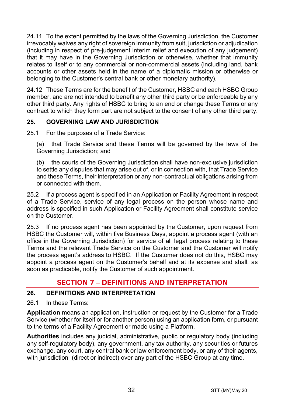24.11 To the extent permitted by the laws of the Governing Jurisdiction, the Customer irrevocably waives any right of sovereign immunity from suit, jurisdiction or adjudication (including in respect of pre-judgement interim relief and execution of any judgement) that it may have in the Governing Jurisdiction or otherwise, whether that immunity relates to itself or to any commercial or non-commercial assets (including land, bank accounts or other assets held in the name of a diplomatic mission or otherwise or belonging to the Customer's central bank or other monetary authority).

24.12 These Terms are for the benefit of the Customer, HSBC and each HSBC Group member, and are not intended to benefit any other third party or be enforceable by any other third party. Any rights of HSBC to bring to an end or change these Terms or any contract to which they form part are not subject to the consent of any other third party.

# **25. GOVERNING LAW AND JURISDICTION**

25.1 For the purposes of a Trade Service:

(a) that Trade Service and these Terms will be governed by the laws of the Governing Jurisdiction; and

(b) the courts of the Governing Jurisdiction shall have non-exclusive jurisdiction to settle any disputes that may arise out of, or in connection with, that Trade Service and these Terms, their interpretation or any non-contractual obligations arising from or connected with them.

25.2 If a process agent is specified in an Application or Facility Agreement in respect of a Trade Service, service of any legal process on the person whose name and address is specified in such Application or Facility Agreement shall constitute service on the Customer.

25.3 If no process agent has been appointed by the Customer, upon request from HSBC the Customer will, within five Business Days, appoint a process agent (with an office in the Governing Jurisdiction) for service of all legal process relating to these Terms and the relevant Trade Service on the Customer and the Customer will notify the process agent's address to HSBC. If the Customer does not do this, HSBC may appoint a process agent on the Customer's behalf and at its expense and shall, as soon as practicable, notify the Customer of such appointment.

# **SECTION 7 – DEFINITIONS AND INTERPRETATION**

## **26. DEFINITIONS AND INTERPRETATION**

26.1 In these Terms:

**Application** means an application, instruction or request by the Customer for a Trade Service (whether for itself or for another person) using an application form, or pursuant to the terms of a Facility Agreement or made using a Platform.

**Authorities** includes any judicial, administrative, public or regulatory body (including any self-regulatory body), any government, any tax authority, any securities or futures exchange, any court, any central bank or law enforcement body, or any of their agents, with jurisdiction (direct or indirect) over any part of the HSBC Group at any time.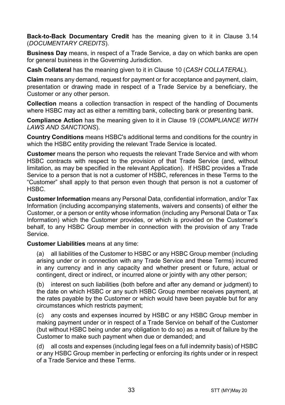**Back-to-Back Documentary Credit** has the meaning given to it in Clause [3.14](#page-5-0) (*[DOCUMENTARY CREDITS](#page-3-0)*).

**Business Day** means, in respect of a Trade Service, a day on which banks are open for general business in the Governing Jurisdiction.

**Cash Collateral** has the meaning given to it in Clause [10](#page-14-1) (*[CASH COLLATERAL](#page-14-1)*).

**Claim** means any demand, request for payment or for acceptance and payment, claim, presentation or drawing made in respect of a Trade Service by a beneficiary, the Customer or any other person.

**Collection** means a collection transaction in respect of the handling of Documents where HSBC may act as either a remitting bank, collecting bank or presenting bank.

**Compliance Action** has the meaning given to it in Clause [19](#page-22-0) (*[COMPLIANCE WITH](#page-22-0)  [LAWS AND SANCTIONS](#page-22-0)*).

**Country Conditions** means HSBC's additional terms and conditions for the country in which the HSBC entity providing the relevant Trade Service is located.

**Customer** means the person who requests the relevant Trade Service and with whom HSBC contracts with respect to the provision of that Trade Service (and, without limitation, as may be specified in the relevant Application). If HSBC provides a Trade Service to a person that is not a customer of HSBC, references in these Terms to the "Customer" shall apply to that person even though that person is not a customer of HSBC.

**Customer Information** means any Personal Data, confidential information, and/or Tax Information (including accompanying statements, waivers and consents) of either the Customer, or a person or entity whose information (including any Personal Data or Tax Information) which the Customer provides, or which is provided on the Customer's behalf, to any HSBC Group member in connection with the provision of any Trade Service.

**Customer Liabilities** means at any time:

(a) all liabilities of the Customer to HSBC or any HSBC Group member (including arising under or in connection with any Trade Service and these Terms) incurred in any currency and in any capacity and whether present or future, actual or contingent, direct or indirect, or incurred alone or jointly with any other person;

(b) interest on such liabilities (both before and after any demand or judgment) to the date on which HSBC or any such HSBC Group member receives payment, at the rates payable by the Customer or which would have been payable but for any circumstances which restricts payment;

(c) any costs and expenses incurred by HSBC or any HSBC Group member in making payment under or in respect of a Trade Service on behalf of the Customer (but without HSBC being under any obligation to do so) as a result of failure by the Customer to make such payment when due or demanded; and

(d) all costs and expenses (including legal fees on a full indemnity basis) of HSBC or any HSBC Group member in perfecting or enforcing its rights under or in respect of a Trade Service and these Terms.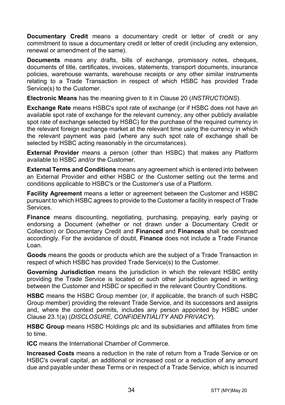**Documentary Credit** means a documentary credit or letter of credit or any commitment to issue a documentary credit or letter of credit (including any extension. renewal or amendment of the same).

**Documents** means any drafts, bills of exchange, promissory notes, cheques, documents of title, certificates, invoices, statements, transport documents, insurance policies, warehouse warrants, warehouse receipts or any other similar instruments relating to a Trade Transaction in respect of which HSBC has provided Trade Service(s) to the Customer.

**Electronic Means** has the meaning given to it in Clause [20](#page-24-0) (*[INSTRUCTIONS](#page-24-0)*).

**Exchange Rate** means HSBC's spot rate of exchange (or if HSBC does not have an available spot rate of exchange for the relevant currency, any other publicly available spot rate of exchange selected by HSBC) for the purchase of the required currency in the relevant foreign exchange market at the relevant time using the currency in which the relevant payment was paid (where any such spot rate of exchange shall be selected by HSBC acting reasonably in the circumstances).

**External Provider** means a person (other than HSBC) that makes any Platform available to HSBC and/or the Customer.

**External Terms and Conditions** means any agreement which is entered into between an External Provider and either HSBC or the Customer setting out the terms and conditions applicable to HSBC's or the Customer's use of a Platform.

**Facility Agreement** means a letter or agreement between the Customer and HSBC pursuant to which HSBC agrees to provide to the Customer a facility in respect of Trade Services.

**Finance** means discounting, negotiating, purchasing, prepaying, early paying or endorsing a Document (whether or not drawn under a Documentary Credit or Collection) or Documentary Credit and **Financed** and **Finances** shall be construed accordingly. For the avoidance of doubt, **Finance** does not include a Trade Finance Loan.

**Goods** means the goods or products which are the subject of a Trade Transaction in respect of which HSBC has provided Trade Service(s) to the Customer.

**Governing Jurisdiction** means the jurisdiction in which the relevant HSBC entity providing the Trade Service is located or such other jurisdiction agreed in writing between the Customer and HSBC or specified in the relevant Country Conditions.

**HSBC** means the HSBC Group member (or, if applicable, the branch of such HSBC Group member) providing the relevant Trade Service, and its successors and assigns and, where the context permits, includes any person appointed by HSBC under Clause [23.1\(a\)](#page-29-0) (*[DISCLOSURE, CONFIDENTIALITY AND PRIVACY](#page-28-0)*).

**HSBC Group** means HSBC Holdings plc and its subsidiaries and affiliates from time to time.

**ICC** means the International Chamber of Commerce.

**Increased Costs** means a reduction in the rate of return from a Trade Service or on HSBC's overall capital, an additional or increased cost or a reduction of any amount due and payable under these Terms or in respect of a Trade Service, which is incurred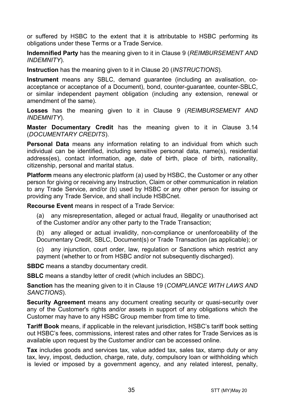or suffered by HSBC to the extent that it is attributable to HSBC performing its obligations under these Terms or a Trade Service.

**Indemnified Party** has the meaning given to it in Claus[e 9](#page-13-0) (*[REIMBURSEMENT AND](#page-13-0)  [INDEMNITY](#page-13-0)*).

**Instruction** has the meaning given to it in Clause [20](#page-24-0) (*[INSTRUCTIONS](#page-24-0)*).

**Instrument** means any SBLC, demand guarantee (including an avalisation, coacceptance or acceptance of a Document), bond, counter-guarantee, counter-SBLC, or similar independent payment obligation (including any extension, renewal or amendment of the same).

**Losses** has the meaning given to it in Clause [9](#page-13-0) (*[REIMBURSEMENT AND](#page-13-0)  [INDEMNITY](#page-13-0)*).

**Master Documentary Credit** has the meaning given to it in Clause [3.14](#page-5-0) (*[DOCUMENTARY CREDITS](#page-3-0)*).

**Personal Data** means any information relating to an individual from which such individual can be identified, including sensitive personal data, name(s), residential address(es), contact information, age, date of birth, place of birth, nationality, citizenship, personal and marital status.

**Platform** means any electronic platform (a) used by HSBC, the Customer or any other person for giving or receiving any Instruction, Claim or other communication in relation to any Trade Service, and/or (b) used by HSBC or any other person for issuing or providing any Trade Service, and shall include HSBCnet.

**Recourse Event** means in respect of a Trade Service:

(a) any misrepresentation, alleged or actual fraud, illegality or unauthorised act of the Customer and/or any other party to the Trade Transaction;

(b) any alleged or actual invalidity, non-compliance or unenforceability of the Documentary Credit, SBLC, Document(s) or Trade Transaction (as applicable); or

(c) any injunction, court order, law, regulation or Sanctions which restrict any payment (whether to or from HSBC and/or not subsequently discharged).

**SBDC** means a standby documentary credit.

**SBLC** means a standby letter of credit (which includes an SBDC).

**Sanction** has the meaning given to it in Clause [19](#page-22-0) (*[COMPLIANCE WITH LAWS AND](#page-22-0)  [SANCTIONS](#page-22-0)*).

**Security Agreement** means any document creating security or quasi-security over any of the Customer's rights and/or assets in support of any obligations which the Customer may have to any HSBC Group member from time to time.

**Tariff Book** means, if applicable in the relevant jurisdiction, HSBC's tariff book setting out HSBC's fees, commissions, interest rates and other rates for Trade Services as is available upon request by the Customer and/or can be accessed online.

**Tax** includes goods and services tax, value added tax, sales tax, stamp duty or any tax, levy, impost, deduction, charge, rate, duty, compulsory loan or withholding which is levied or imposed by a government agency, and any related interest, penalty,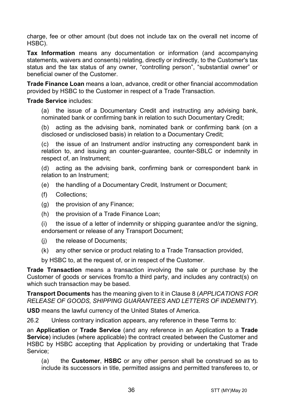charge, fee or other amount (but does not include tax on the overall net income of HSBC).

**Tax Information** means any documentation or information (and accompanying statements, waivers and consents) relating, directly or indirectly, to the Customer's tax status and the tax status of any owner, "controlling person", "substantial owner" or beneficial owner of the Customer.

**Trade Finance Loan** means a loan, advance, credit or other financial accommodation provided by HSBC to the Customer in respect of a Trade Transaction.

#### **Trade Service** includes:

(a) the issue of a Documentary Credit and instructing any advising bank, nominated bank or confirming bank in relation to such Documentary Credit;

(b) acting as the advising bank, nominated bank or confirming bank (on a disclosed or undisclosed basis) in relation to a Documentary Credit;

(c) the issue of an Instrument and/or instructing any correspondent bank in relation to, and issuing an counter-guarantee, counter-SBLC or indemnity in respect of, an Instrument;

(d) acting as the advising bank, confirming bank or correspondent bank in relation to an Instrument;

- (e) the handling of a Documentary Credit, Instrument or Document;
- (f) Collections;
- (g) the provision of any Finance;
- (h) the provision of a Trade Finance Loan;

(i) the issue of a letter of indemnity or shipping guarantee and/or the signing, endorsement or release of any Transport Document;

- (j) the release of Documents;
- (k) any other service or product relating to a Trade Transaction provided,

by HSBC to, at the request of, or in respect of the Customer.

**Trade Transaction** means a transaction involving the sale or purchase by the Customer of goods or services from/to a third party, and includes any contract(s) on which such transaction may be based.

**Transport Documents** has the meaning given to it in Clause [8](#page-12-0) (*[APPLICATIONS FOR](#page-12-0)  [RELEASE OF GOODS, SHIPPING GUARANTEES AND](#page-12-0) LETTERS OF INDEMNITY*).

**USD** means the lawful currency of the United States of America.

26.2 Unless contrary indication appears, any reference in these Terms to:

an **Application** or **Trade Service** (and any reference in an Application to a **Trade Service**) includes (where applicable) the contract created between the Customer and HSBC by HSBC accepting that Application by providing or undertaking that Trade Service;

(a) the **Customer**, **HSBC** or any other person shall be construed so as to include its successors in title, permitted assigns and permitted transferees to, or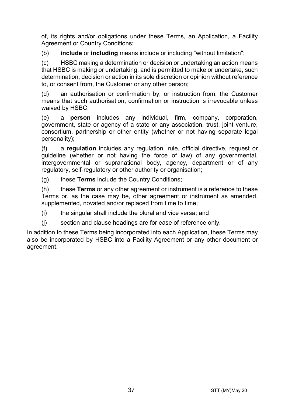of, its rights and/or obligations under these Terms, an Application, a Facility Agreement or Country Conditions:

(b) **include** or **including** means include or including "without limitation";

(c) HSBC making a determination or decision or undertaking an action means that HSBC is making or undertaking, and is permitted to make or undertake, such determination, decision or action in its sole discretion or opinion without reference to, or consent from, the Customer or any other person;

(d) an authorisation or confirmation by, or instruction from, the Customer means that such authorisation, confirmation or instruction is irrevocable unless waived by HSBC;

(e) a **person** includes any individual, firm, company, corporation, government, state or agency of a state or any association, trust, joint venture, consortium, partnership or other entity (whether or not having separate legal personality);

(f) a **regulation** includes any regulation, rule, official directive, request or guideline (whether or not having the force of law) of any governmental, intergovernmental or supranational body, agency, department or of any regulatory, self-regulatory or other authority or organisation;

(g) these **Terms** include the Country Conditions;

(h) these **Terms** or any other agreement or instrument is a reference to these Terms or, as the case may be, other agreement or instrument as amended, supplemented, novated and/or replaced from time to time;

(i) the singular shall include the plural and vice versa; and

(j) section and clause headings are for ease of reference only.

In addition to these Terms being incorporated into each Application, these Terms may also be incorporated by HSBC into a Facility Agreement or any other document or agreement.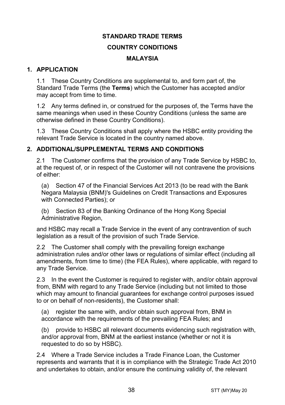#### **STANDARD TRADE TERMS**

#### **COUNTRY CONDITIONS**

#### **MALAYSIA**

## **1. APPLICATION**

1.1 These Country Conditions are supplemental to, and form part of, the Standard Trade Terms (the **Terms**) which the Customer has accepted and/or may accept from time to time.

1.2 Any terms defined in, or construed for the purposes of, the Terms have the same meanings when used in these Country Conditions (unless the same are otherwise defined in these Country Conditions).

1.3 These Country Conditions shall apply where the HSBC entity providing the relevant Trade Service is located in the country named above.

## **2. ADDITIONAL/SUPPLEMENTAL TERMS AND CONDITIONS**

2.1 The Customer confirms that the provision of any Trade Service by HSBC to, at the request of, or in respect of the Customer will not contravene the provisions of either:

(a) Section 47 of the Financial Services Act 2013 (to be read with the Bank Negara Malaysia (BNM)'s Guidelines on Credit Transactions and Exposures with Connected Parties); or

(b) Section 83 of the Banking Ordinance of the Hong Kong Special Administrative Region.

and HSBC may recall a Trade Service in the event of any contravention of such legislation as a result of the provision of such Trade Service.

2.2 The Customer shall comply with the prevailing foreign exchange administration rules and/or other laws or regulations of similar effect (including all amendments, from time to time) (the FEA Rules), where applicable, with regard to any Trade Service.

2.3 In the event the Customer is required to register with, and/or obtain approval from, BNM with regard to any Trade Service (including but not limited to those which may amount to financial guarantees for exchange control purposes issued to or on behalf of non-residents), the Customer shall:

(a) register the same with, and/or obtain such approval from, BNM in accordance with the requirements of the prevailing FEA Rules; and

(b) provide to HSBC all relevant documents evidencing such registration with, and/or approval from, BNM at the earliest instance (whether or not it is requested to do so by HSBC).

2.4 Where a Trade Service includes a Trade Finance Loan, the Customer represents and warrants that it is in compliance with the Strategic Trade Act 2010 and undertakes to obtain, and/or ensure the continuing validity of, the relevant